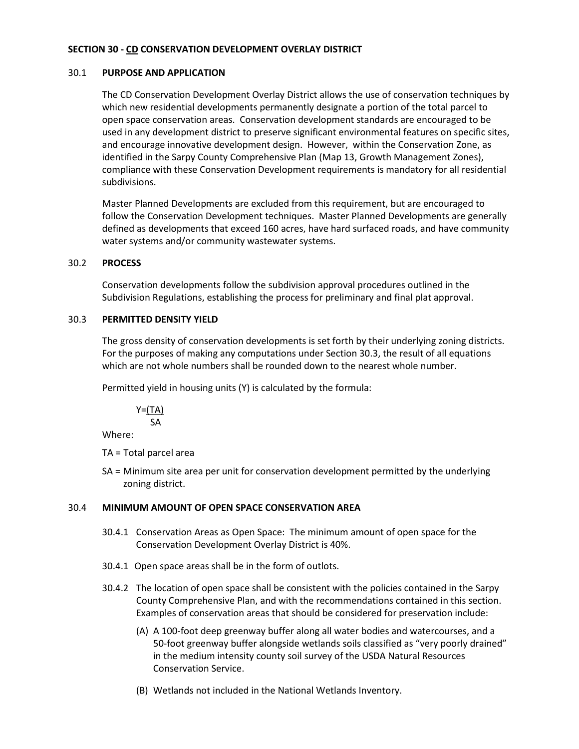# **SECTION 30 - CD CONSERVATION DEVELOPMENT OVERLAY DISTRICT**

# 30.1 **PURPOSE AND APPLICATION**

The CD Conservation Development Overlay District allows the use of conservation techniques by which new residential developments permanently designate a portion of the total parcel to open space conservation areas. Conservation development standards are encouraged to be used in any development district to preserve significant environmental features on specific sites, and encourage innovative development design. However, within the Conservation Zone, as identified in the Sarpy County Comprehensive Plan (Map 13, Growth Management Zones), compliance with these Conservation Development requirements is mandatory for all residential subdivisions.

Master Planned Developments are excluded from this requirement, but are encouraged to follow the Conservation Development techniques. Master Planned Developments are generally defined as developments that exceed 160 acres, have hard surfaced roads, and have community water systems and/or community wastewater systems.

# 30.2 **PROCESS**

Conservation developments follow the subdivision approval procedures outlined in the Subdivision Regulations, establishing the process for preliminary and final plat approval.

# 30.3 **PERMITTED DENSITY YIELD**

The gross density of conservation developments is set forth by their underlying zoning districts. For the purposes of making any computations under Section 30.3, the result of all equations which are not whole numbers shall be rounded down to the nearest whole number.

Permitted yield in housing units (Y) is calculated by the formula:

 $Y=(TA)$ SA

Where:

TA = Total parcel area

SA = Minimum site area per unit for conservation development permitted by the underlying zoning district.

# 30.4 **MINIMUM AMOUNT OF OPEN SPACE CONSERVATION AREA**

- 30.4.1 Conservation Areas as Open Space: The minimum amount of open space for the Conservation Development Overlay District is 40%.
- 30.4.1 Open space areas shall be in the form of outlots.
- 30.4.2 The location of open space shall be consistent with the policies contained in the Sarpy County Comprehensive Plan, and with the recommendations contained in this section. Examples of conservation areas that should be considered for preservation include:
	- (A) A 100-foot deep greenway buffer along all water bodies and watercourses, and a 50-foot greenway buffer alongside wetlands soils classified as "very poorly drained" in the medium intensity county soil survey of the USDA Natural Resources Conservation Service.
	- (B) Wetlands not included in the National Wetlands Inventory.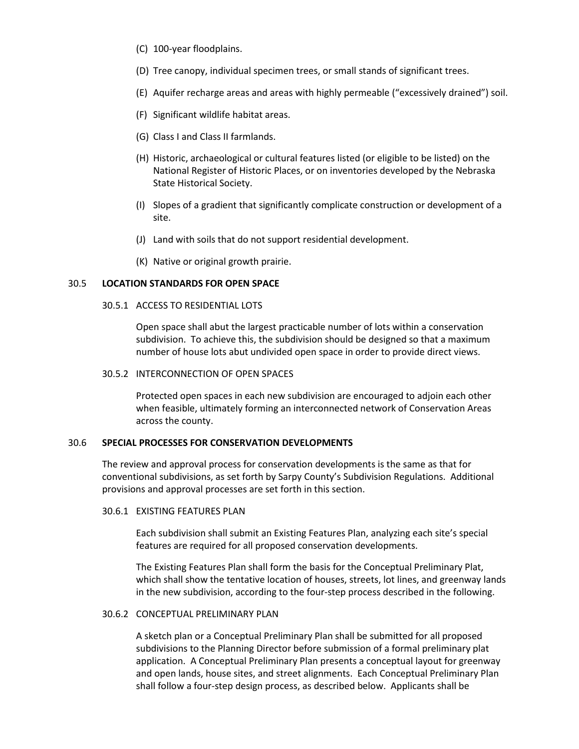- (C) 100-year floodplains.
- (D) Tree canopy, individual specimen trees, or small stands of significant trees.
- (E) Aquifer recharge areas and areas with highly permeable ("excessively drained") soil.
- (F) Significant wildlife habitat areas.
- (G) Class I and Class II farmlands.
- (H) Historic, archaeological or cultural features listed (or eligible to be listed) on the National Register of Historic Places, or on inventories developed by the Nebraska State Historical Society.
- (I) Slopes of a gradient that significantly complicate construction or development of a site.
- (J) Land with soils that do not support residential development.
- (K) Native or original growth prairie.

### 30.5 **LOCATION STANDARDS FOR OPEN SPACE**

### 30.5.1 ACCESS TO RESIDENTIAL LOTS

Open space shall abut the largest practicable number of lots within a conservation subdivision. To achieve this, the subdivision should be designed so that a maximum number of house lots abut undivided open space in order to provide direct views.

### 30.5.2 INTERCONNECTION OF OPEN SPACES

Protected open spaces in each new subdivision are encouraged to adjoin each other when feasible, ultimately forming an interconnected network of Conservation Areas across the county.

# 30.6 **SPECIAL PROCESSES FOR CONSERVATION DEVELOPMENTS**

The review and approval process for conservation developments is the same as that for conventional subdivisions, as set forth by Sarpy County's Subdivision Regulations. Additional provisions and approval processes are set forth in this section.

### 30.6.1 EXISTING FEATURES PLAN

Each subdivision shall submit an Existing Features Plan, analyzing each site's special features are required for all proposed conservation developments.

The Existing Features Plan shall form the basis for the Conceptual Preliminary Plat, which shall show the tentative location of houses, streets, lot lines, and greenway lands in the new subdivision, according to the four-step process described in the following.

### 30.6.2 CONCEPTUAL PRELIMINARY PLAN

A sketch plan or a Conceptual Preliminary Plan shall be submitted for all proposed subdivisions to the Planning Director before submission of a formal preliminary plat application. A Conceptual Preliminary Plan presents a conceptual layout for greenway and open lands, house sites, and street alignments. Each Conceptual Preliminary Plan shall follow a four-step design process, as described below. Applicants shall be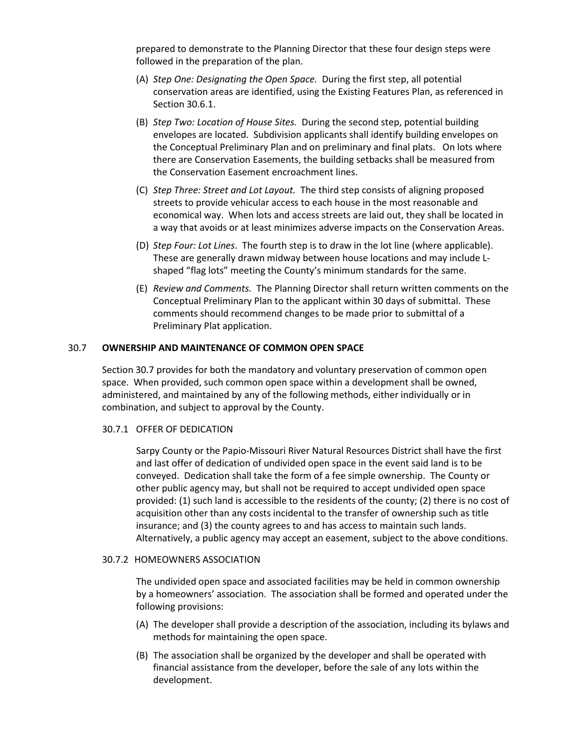prepared to demonstrate to the Planning Director that these four design steps were followed in the preparation of the plan.

- (A) *Step One: Designating the Open Space.* During the first step, all potential conservation areas are identified, using the Existing Features Plan, as referenced in Section 30.6.1.
- (B) *Step Two: Location of House Sites.* During the second step, potential building envelopes are located. Subdivision applicants shall identify building envelopes on the Conceptual Preliminary Plan and on preliminary and final plats. On lots where there are Conservation Easements, the building setbacks shall be measured from the Conservation Easement encroachment lines.
- (C) *Step Three: Street and Lot Layout.* The third step consists of aligning proposed streets to provide vehicular access to each house in the most reasonable and economical way. When lots and access streets are laid out, they shall be located in a way that avoids or at least minimizes adverse impacts on the Conservation Areas.
- (D) *Step Four: Lot Lines*. The fourth step is to draw in the lot line (where applicable). These are generally drawn midway between house locations and may include Lshaped "flag lots" meeting the County's minimum standards for the same.
- (E) *Review and Comments.* The Planning Director shall return written comments on the Conceptual Preliminary Plan to the applicant within 30 days of submittal. These comments should recommend changes to be made prior to submittal of a Preliminary Plat application.

# 30.7 **OWNERSHIP AND MAINTENANCE OF COMMON OPEN SPACE**

Section 30.7 provides for both the mandatory and voluntary preservation of common open space. When provided, such common open space within a development shall be owned, administered, and maintained by any of the following methods, either individually or in combination, and subject to approval by the County.

#### 30.7.1 OFFER OF DEDICATION

Sarpy County or the Papio-Missouri River Natural Resources District shall have the first and last offer of dedication of undivided open space in the event said land is to be conveyed. Dedication shall take the form of a fee simple ownership. The County or other public agency may, but shall not be required to accept undivided open space provided: (1) such land is accessible to the residents of the county; (2) there is no cost of acquisition other than any costs incidental to the transfer of ownership such as title insurance; and (3) the county agrees to and has access to maintain such lands. Alternatively, a public agency may accept an easement, subject to the above conditions.

#### 30.7.2 HOMEOWNERS ASSOCIATION

The undivided open space and associated facilities may be held in common ownership by a homeowners' association. The association shall be formed and operated under the following provisions:

- (A) The developer shall provide a description of the association, including its bylaws and methods for maintaining the open space.
- (B) The association shall be organized by the developer and shall be operated with financial assistance from the developer, before the sale of any lots within the development.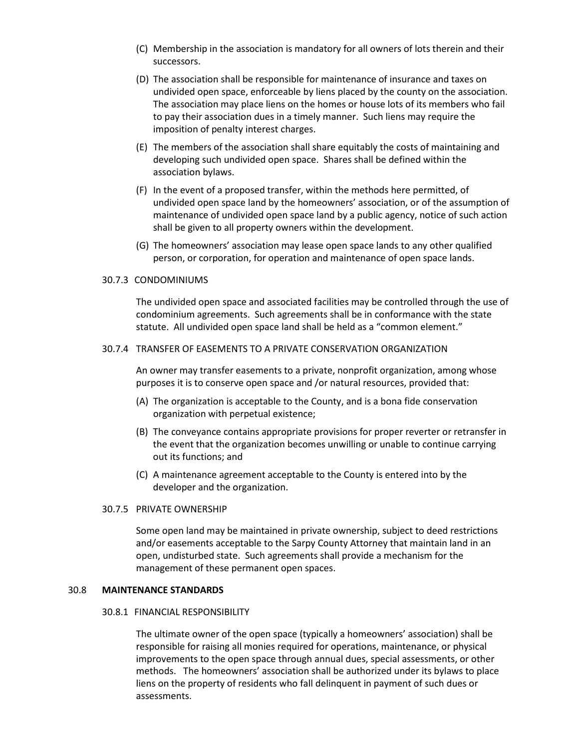- (C) Membership in the association is mandatory for all owners of lots therein and their successors.
- (D) The association shall be responsible for maintenance of insurance and taxes on undivided open space, enforceable by liens placed by the county on the association. The association may place liens on the homes or house lots of its members who fail to pay their association dues in a timely manner. Such liens may require the imposition of penalty interest charges.
- (E) The members of the association shall share equitably the costs of maintaining and developing such undivided open space. Shares shall be defined within the association bylaws.
- (F) In the event of a proposed transfer, within the methods here permitted, of undivided open space land by the homeowners' association, or of the assumption of maintenance of undivided open space land by a public agency, notice of such action shall be given to all property owners within the development.
- (G) The homeowners' association may lease open space lands to any other qualified person, or corporation, for operation and maintenance of open space lands.

# 30.7.3 CONDOMINIUMS

The undivided open space and associated facilities may be controlled through the use of condominium agreements. Such agreements shall be in conformance with the state statute. All undivided open space land shall be held as a "common element."

# 30.7.4 TRANSFER OF EASEMENTS TO A PRIVATE CONSERVATION ORGANIZATION

An owner may transfer easements to a private, nonprofit organization, among whose purposes it is to conserve open space and /or natural resources, provided that:

- (A) The organization is acceptable to the County, and is a bona fide conservation organization with perpetual existence;
- (B) The conveyance contains appropriate provisions for proper reverter or retransfer in the event that the organization becomes unwilling or unable to continue carrying out its functions; and
- (C) A maintenance agreement acceptable to the County is entered into by the developer and the organization.

#### 30.7.5 PRIVATE OWNERSHIP

Some open land may be maintained in private ownership, subject to deed restrictions and/or easements acceptable to the Sarpy County Attorney that maintain land in an open, undisturbed state. Such agreements shall provide a mechanism for the management of these permanent open spaces.

#### 30.8 **MAINTENANCE STANDARDS**

#### 30.8.1 FINANCIAL RESPONSIBILITY

The ultimate owner of the open space (typically a homeowners' association) shall be responsible for raising all monies required for operations, maintenance, or physical improvements to the open space through annual dues, special assessments, or other methods. The homeowners' association shall be authorized under its bylaws to place liens on the property of residents who fall delinquent in payment of such dues or assessments.